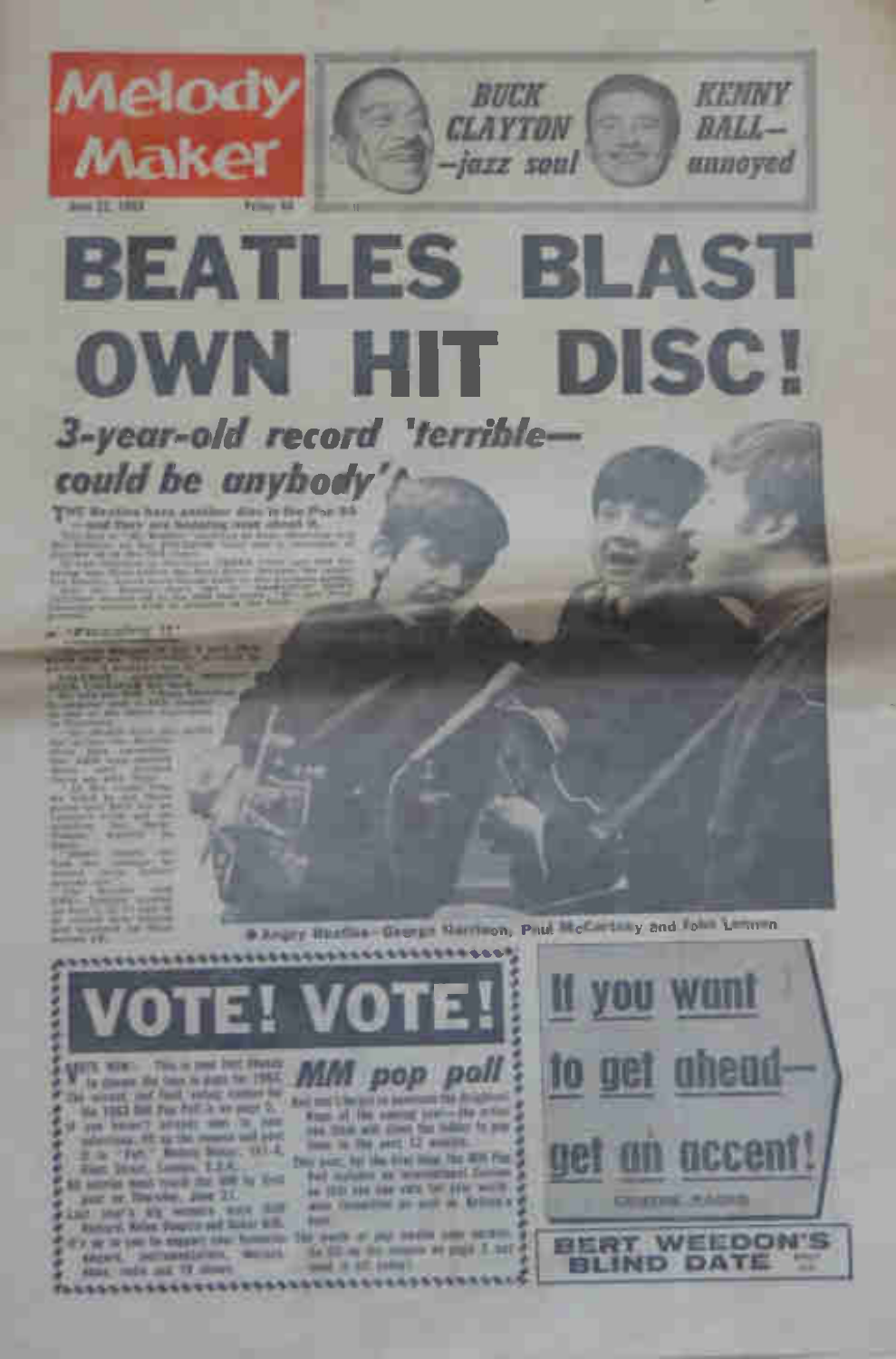## 3-year-old record 'terriblecould be anyhody

THE Realing have assisted dire in the Pag 16. and Tech and Mobilities over check in

Melody

Maker

 $1 - 25$  FR 2003

**Pinned** 

Disapplified as design Narrison, Paul McCartary and form Limited 

RUCK

**CLAYTON** 

-jazz soul

**BEATLES BLAST** 

OWN HIT DISC!

KENNY

 $RAL$ 

unnoyed

VIEW NEWS TWO are treed free movies MM pop poll In disease the base to pupi for 1982. the mount and find value comes for and services to permutate from the 1983 list For Follis we page 2. Kings of the special seation the milion **EXEM** trial think with street that today for your THE R TH AVE 12 HOURS Dear pum, but the dried time. He with Plan Fed mounts as incomment factors \$2 secrets won't rough that apply by their an 1000 kind the view tim adds worth. per or france, just 20. and thoughts as sold as Arizon's Last line"), why wenner, more than **Asset** 

Richard, Kelen, Swartz and Scient & H. of a say on your for expand side: Notwerpy,

The parts of you begin some section. the fill my this resume are graph 2, but ! shows, instrumentation, commitand it all into ! since reds and 12 since

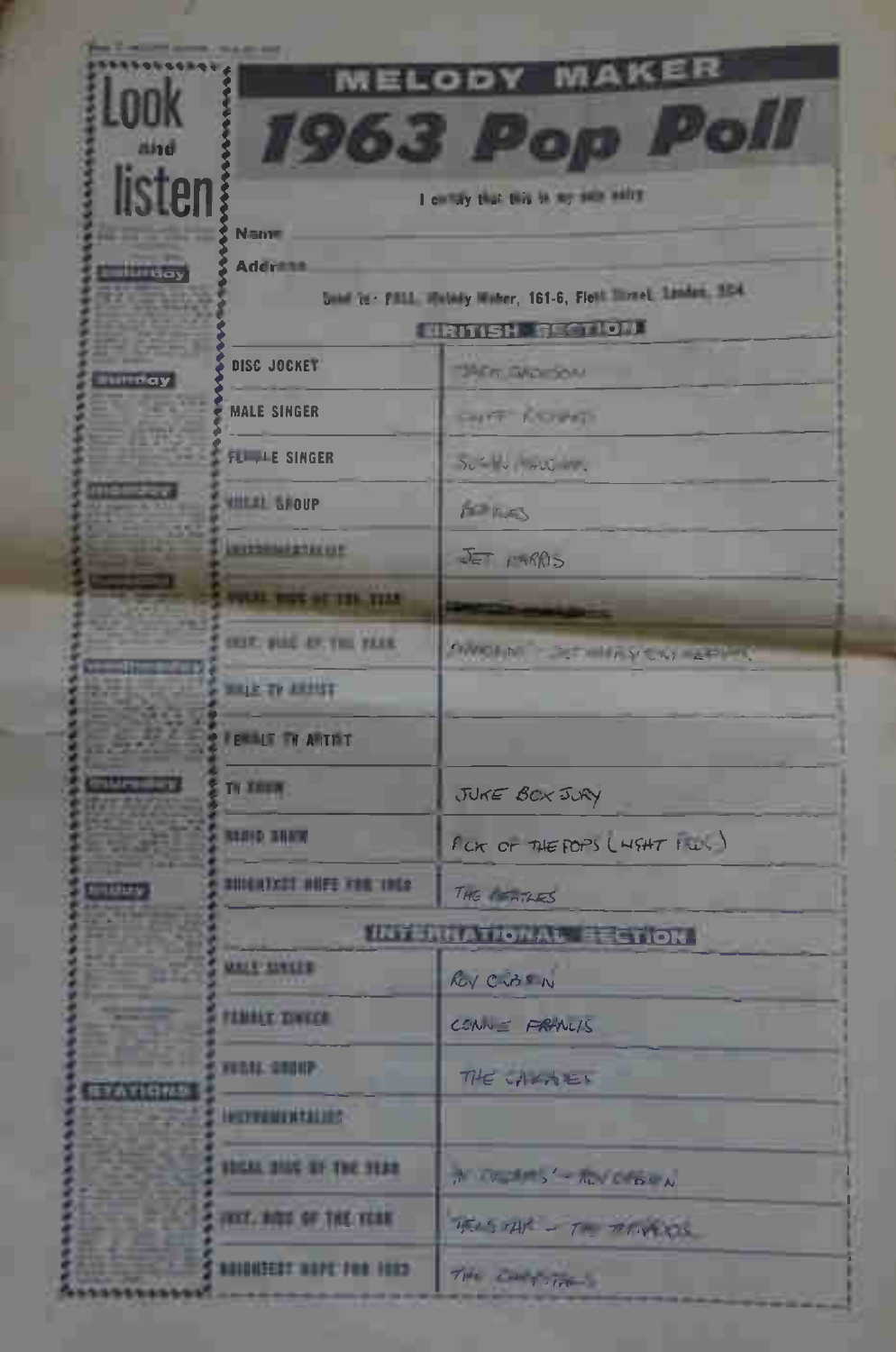| <b>MELODY</b>        |                                                                    |                                      |  |  |
|----------------------|--------------------------------------------------------------------|--------------------------------------|--|--|
| LOOK<br>mind         | 1963 Po                                                            | $P_{\odot}$                          |  |  |
| listen               | I am by that this is my summitted                                  |                                      |  |  |
|                      | <b>Nann</b><br><b>Address</b>                                      |                                      |  |  |
| <b>The Bay</b>       | <b>Some to Phill Melady Water, 161-6, Fiest Breet Linder, 1824</b> |                                      |  |  |
|                      | <b>ERITISH SECTION</b>                                             |                                      |  |  |
| <b>Hillingay</b>     | DISC JOCKEY                                                        | <b>TAER SACKSON</b>                  |  |  |
|                      | <b>MALE SINGER</b>                                                 | <b>CALLEY KILLINGS</b>               |  |  |
|                      | <b>FLITTLE SINGER</b>                                              | SUT V WULLET.                        |  |  |
|                      | <b>WILLIE SPOUP</b>                                                | PETER                                |  |  |
|                      | <b>NUMBER OF</b>                                                   | $E = f - RR$                         |  |  |
|                      | <b>WELL BUT ST TEN TIME</b>                                        |                                      |  |  |
|                      | <b>SHIP, BIRE AN, THE YAKE</b>                                     | <b>SWOLM STRING YOU REPORT</b>       |  |  |
|                      | <b>WALE TO ARMIT</b>                                               |                                      |  |  |
|                      | <b>FEMALE TV ARTIST</b>                                            |                                      |  |  |
| <b>National Arts</b> | TV THUN                                                            | JUKE BOX JURY                        |  |  |
|                      | <b>NAMES AND</b>                                                   | $f$ CK OF THE POPS ( $H$ SHT $f w$ ) |  |  |
| <b>STUDIY</b>        | RIDENTICAL HUFE VON 1964                                           | THE PERTARES                         |  |  |
|                      | <b>INTERNATIONAL EECTION</b>                                       |                                      |  |  |
|                      | <b>URLE SINCER</b>                                                 | Ry City                              |  |  |
|                      | <b>FEMALE DAKER</b>                                                | $CCAN = FAVLIS$                      |  |  |
| 信子古町日保か              | VEGAL SHOUP                                                        | THE CALAES                           |  |  |
|                      | <b>INTERNATION</b>                                                 |                                      |  |  |
|                      | <b>SOLU 2000 ST THE SEAR</b>                                       | A VIII S'-AUVENIA                    |  |  |
|                      | FREE, BIGG OF THE YEAR                                             | TELSTAF - TO THANKS                  |  |  |
|                      | <b>MIDISTER SAFE FOR 1983</b>                                      | The Contractor                       |  |  |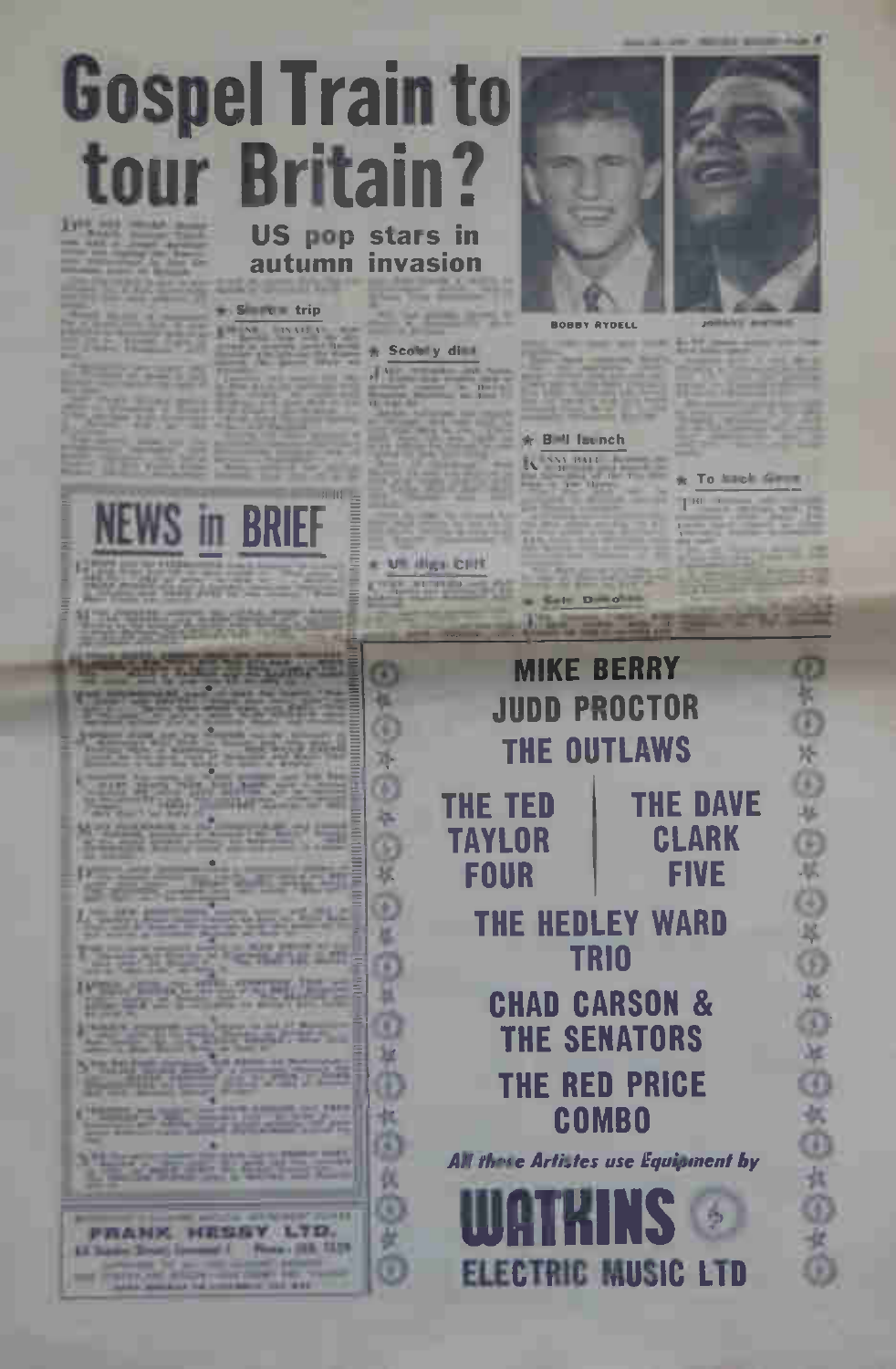# **Gospel Train to tour Britain? US pop stars in**

 $S = \sqrt{1 - \frac{1}{2}}$ **ENSITS** - Scolety di

autumn invasion

**NEWS in BRIEF** 



\* Village City

**KY** 

添

ത

採

ö

×

ö

×

ø н

о

34

Φ

褀 a

仪 m

硱

ō



#### + B H Imnch

IN NATIONAL IN

To linely

THE

慰

ö

外

GS

**ULL** 

ė

医母

OFCACACC

Ø



ω ю a

**FRANK HESSY LTD.** 13 Same Street Lowered | Plans | 18 S. 11 to of **Percent Abril Links at the** 

**Sale Divide** 

**ELECTRIC MUSIC LTD**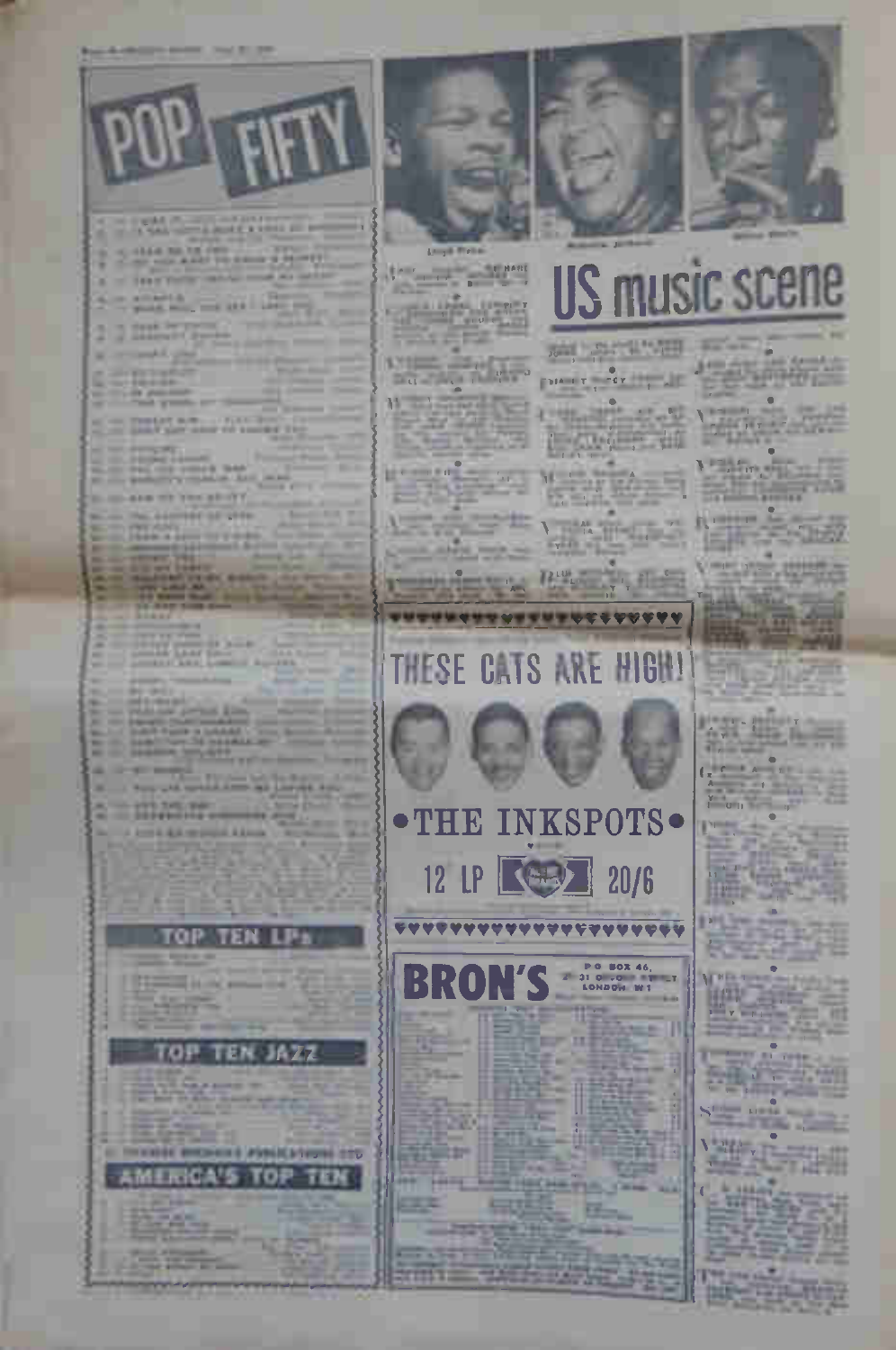

INE PSNACATIONAL 270 TOP

FO 17 **HELP** 

TEST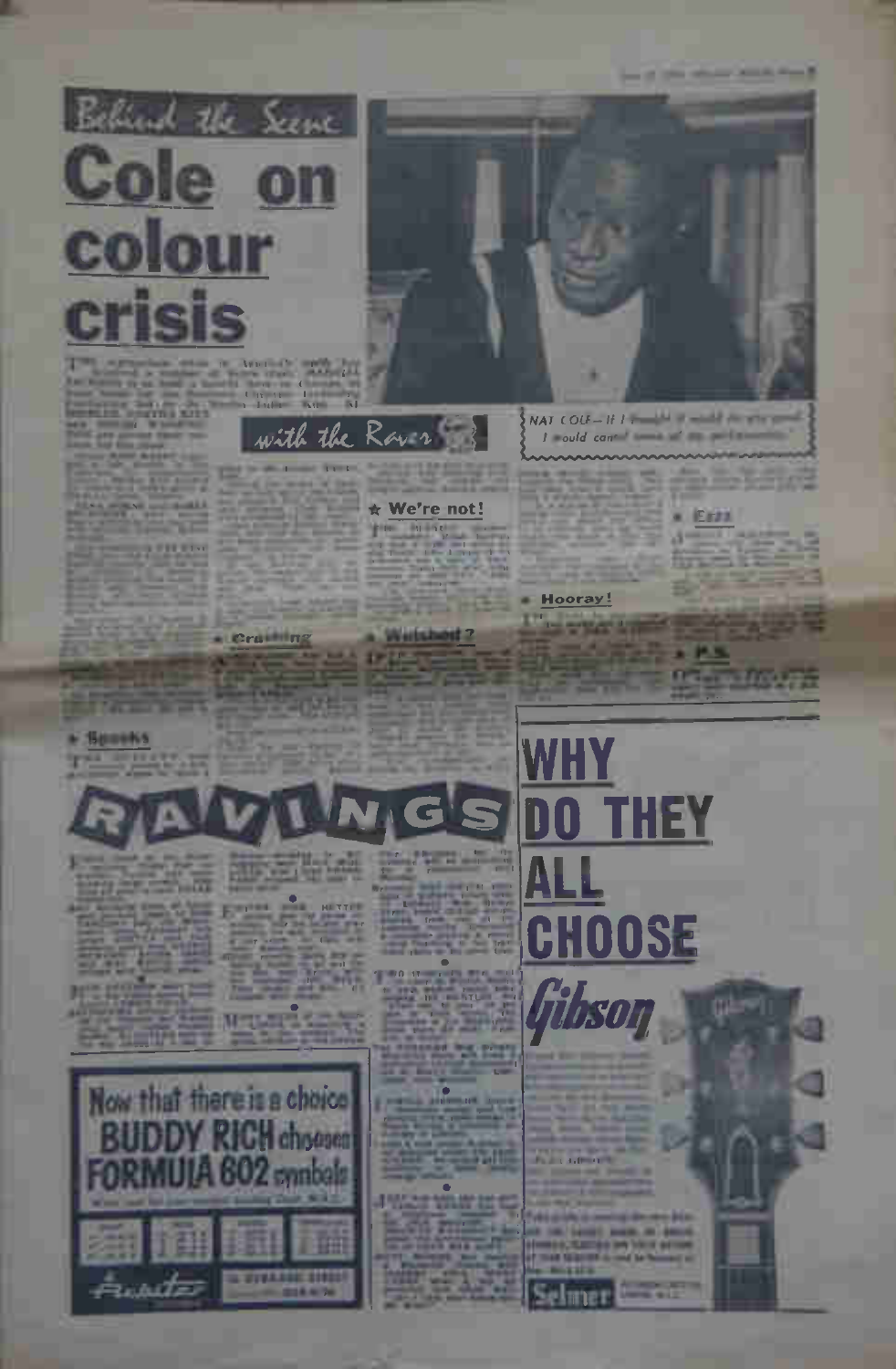

**ALLIERS EMT dis** 

T

with the Rave

- Cruiting

#### \* We're not!

**BULLER** 

## 197



## Hooray! *<u>Party Street</u>*

**A** Exam

 $1 - 1$ 



**THEY** 





**START ALCOHOL:** 

m ol lmer

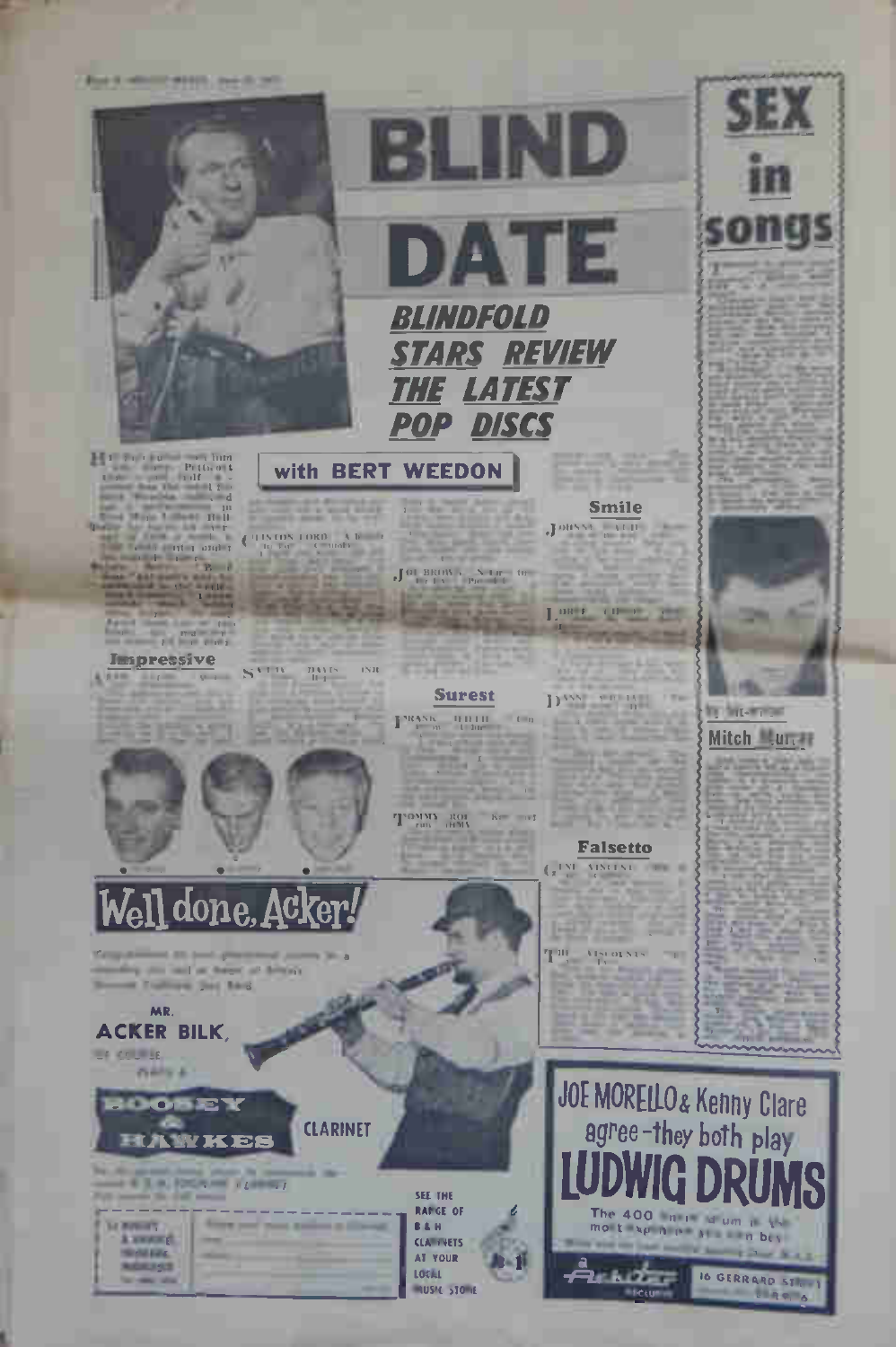**But it while you to considerate** 



- $\begin{array}{cccccc} 1 & 1 & 0 & 0 & 0 & 0 & 0 \\ & & & 1 & 0 & 0 & 0 \\ 1 & 0 & & & 0 & 1 \\ & & & & 1 & 1 \\ & & & & & 0 & 0 \\ & & & & & 0 & 0 \\ & & & & & & 11 & 11 \\ \end{array}$
- $\frac{1}{1-\frac{1}{2}}\sum_{i=1}^{n} \frac{1}{i!} \sum_{i=1}^{n} \frac{1}{i!} \sum_{i=1}^{n} \frac{1}{i!} \sum_{i=1}^{n} \frac{1}{i!} \sum_{i=1}^{n} \frac{1}{i!} \sum_{i=1}^{n} \frac{1}{i!} \sum_{i=1}^{n} \frac{1}{i!} \sum_{i=1}^{n} \frac{1}{i!} \sum_{i=1}^{n} \frac{1}{i!} \sum_{i=1}^{n} \frac{1}{i!} \sum_{i=1}^{n} \frac{1}{i!} \sum_{i=1}^{n$
- 
- **All South**

## Impressive

**SAME SIZE** ×

College of Household, Milk Street. marks as well as heart of friend

Tomat Trailings Said Red MR. **ACKER BILK. US COURSE. Pierre A** 



## with BERT WEEDON

TINDSTORE AND  $\overline{\mathbf{C}}$ 

**CATH**  $\frac{m_{NN}}{m}$  $181$ 



 $\int \mathbf{H} \cdot \mathbf{H} \mathbf{H} \mathbf{H} \mathbf{H} \mathbf{H} \cdot \frac{\mathbf{N} \cdot \mathbf{H} \mathbf{H}}{\mathbf{P} \mathbf{H} \cdot \mathbf{H} \cdot \mathbf{H} \cdot \mathbf{H}}$ 

## **Surest**

PRANK HILLI

TOMM ROL

## **Smile**

Jonyse von

LORE OF PLAT

 $\mathbf{D}^{\mathrm{AVN}} = \min_{\mathbf{D}} \mathbf{D}^{\mathrm{V}}$ **CLAIR AND** ling

1595

## THE GALAXY

**County** 

Mitch Lun. *BM - CANADA* 

**ANTIQUES** 

the first-week





 $100E$ **CLARINET** 

|  | <b>IN SEARACHD</b> |  |
|--|--------------------|--|
|  |                    |  |
|  | -                  |  |
|  |                    |  |
|  |                    |  |

SEE THE **RANGE OF B&H CLAIRMETS** AT YOUR **LOCAL NUSIC STONE** 

## **Falsetto** GINE VISITAL TELEVISION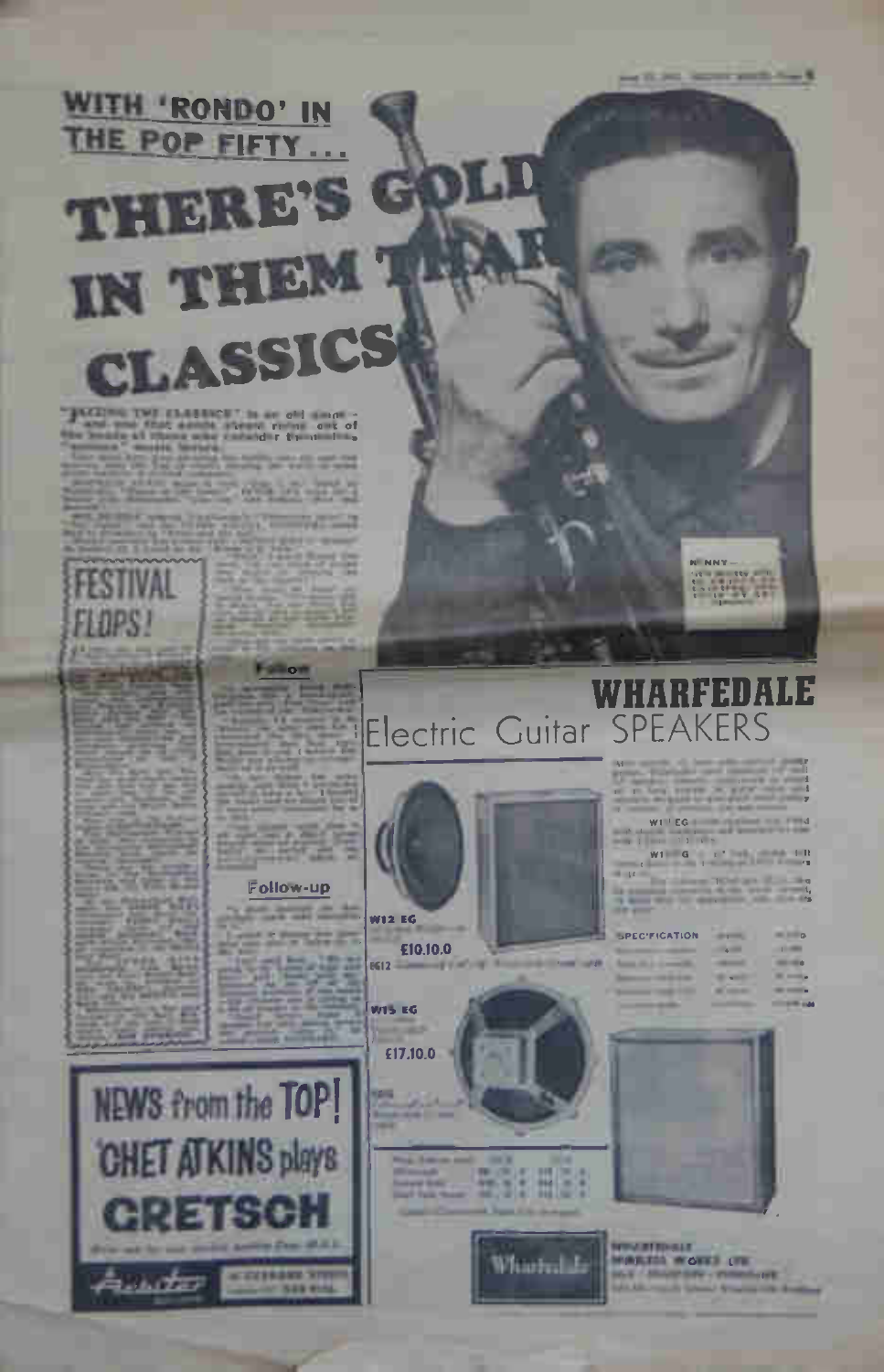and 22, 242, September and 21, 744, 8

# WITH 'RONDO' IN THE POP FIFTY... **THERE'S G** IN THEM T CLASSICS

# 

**FLOPS!** 

**FESTIVAL** 

## Follow-up



駐 田園

What L

WHARFEDALE **Electric Guitar SPEAKERS** 

**Santa Career** 

 $W1^{-1} EG$ 

W1 G

**NEWSFILM BACK A MAXWARE CONTRACT** 



**LTF** 



**WIS EG** 

£17,10.0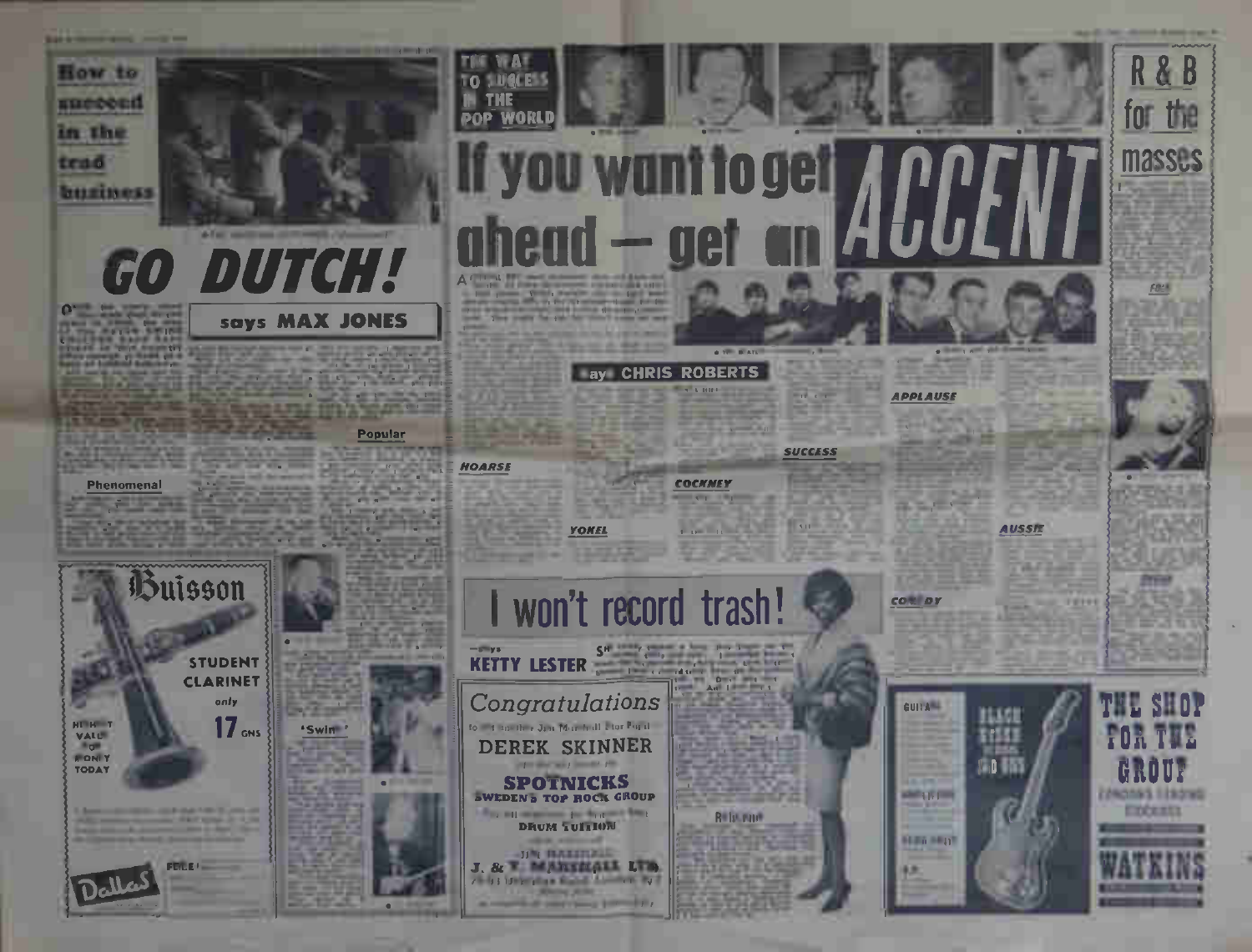**Bank of Concession, California and Concession, California and Concession, California and Concession, California** 

masses

FOLK



Phenomenal

Buisson

only

says MAX JONES

Popular

**STIGLES** πn.

**WORL** DOP

#### HOARSE

**YOKEL** 

of the state when the same of the

**SPOTNICKS** 

**DRUM TUITION STATISTICS** 

**JIM BALINELL** 

1. Show p.m. and it contributes the late

ay CHRIS ROBERTS

**SUCCESS** 

#### **COCHNEY**

won't record trash!

**Relative** 



APPLAUSE

**COMMOY** 

**BEAM HAVE** 

# **AUSSIE**

**TEFFE** 





EXCERD



**MUSEUM** 

VALUE

**Bryan FONTY** 

TODAY





J. & W MARKELALL LTD. / - 5 | Department State Lines at Pa-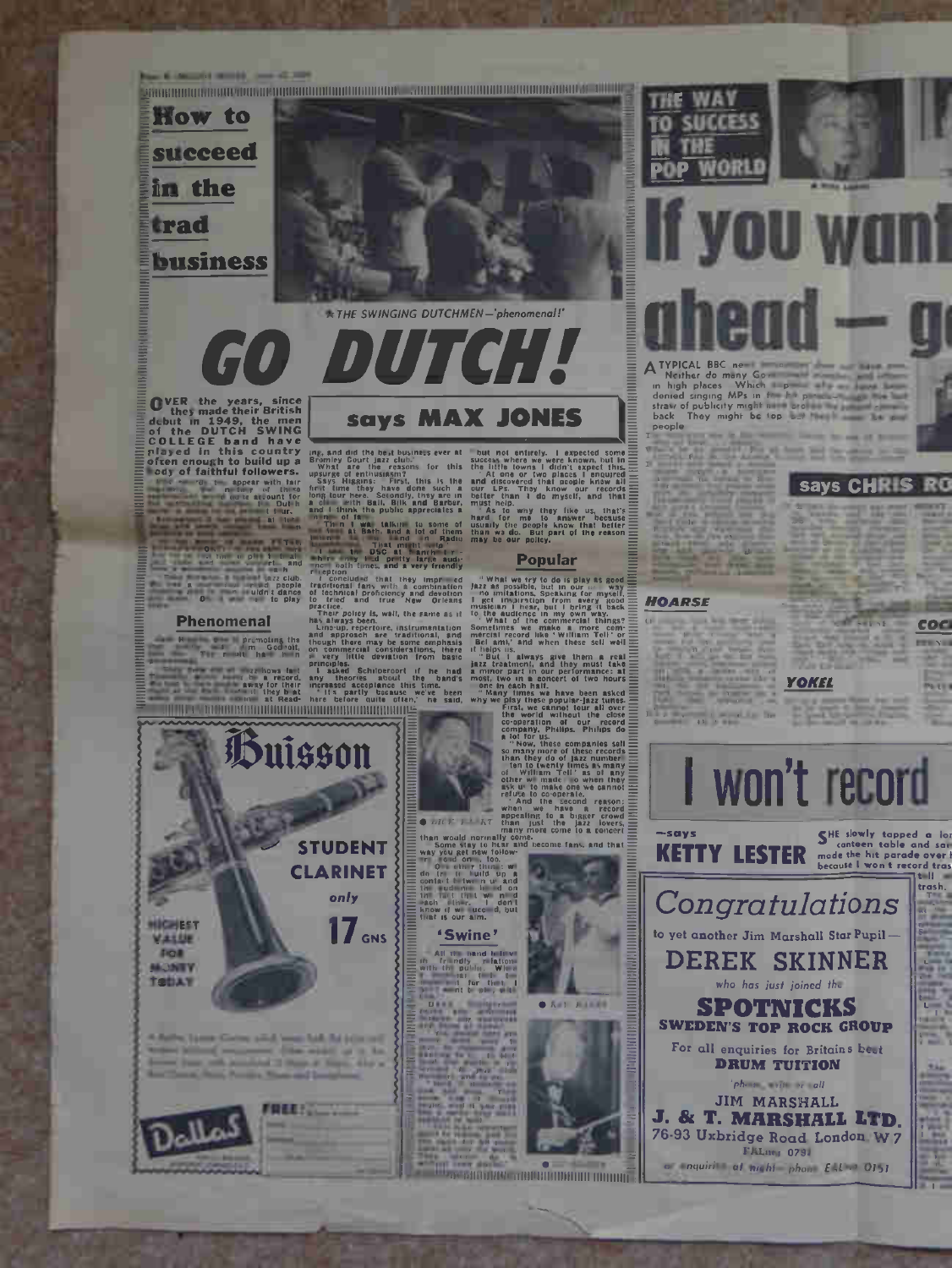

**Committee Service** 

\* THE SWINGING DUTCHMEN-'phenomenal!'

says MAX JONES

# OVER the years, since<br>they made their British<br>of the DUTCH SWING<br>colled the DUTCH SWING<br>risped in this country<br>interaction in this country<br>of the bulk of the bulk<br>of the state of the state of the state of the state<br>of the

## **Phenomenal**

**HICHEST** 

VALUE

**SOR** 

**MONTY** 

TODAY

Buisson

A Balley Taxes Civica sind least late hi interest

Two refs president is there is there, also a

**FREE! NO** 

**School Columns** 

**STUDENT CLARINET** 

only

(the might us in his

 $17$  GNS

 $\frac{1}{10}$  and  $\frac{1}{10}$  and  $\frac{1}{10}$  and  $\frac{1}{10}$  and  $\frac{1}{10}$  and  $\frac{1}{10}$  and  $\frac{1}{10}$  and  $\frac{1}{10}$  and  $\frac{1}{10}$  and  $\frac{1}{10}$  and  $\frac{1}{10}$  and  $\frac{1}{10}$  and  $\frac{1}{10}$  and  $\frac{1}{10}$  and  $\frac{1}{10}$ 

d did the best business ever at  $\frac{1}{2}$  but not entirely. I expected some  $\frac{1}{2}$  to court when the second with the second second the second of  $\frac{1}{2}$  this second is a second that the second the second the second t

 $\bullet$  bit  $F$   $F$   $^*$   $K$ <sup>7</sup> than

**• Ast HARRY** 

ion i know if we use<br>that is our aim

## 'Swine'

All the band held<br>friendly relation public, When<br>is for that I<br>nt to give the

**THEODORIA THEORETIC DISTURBANCE OF THE CONTROL** 



## **TYPICAL BBC**

**WAY** 

**SUCCESS** 

Michael Bonder<br>
In high places Which p<br>
denied singing MPs in the p<br>
straw of publicity might be top<br>
straw of publicity might be top and<br>
back They might be top and people

says CHRIS RO

## **HOARSE**

**Charles Street, Square, The** 

 $-1 - 2$ 



FALmes 0794 a nauirit at mahi phon EAL 0151

coc

I won't record

**YOKEL**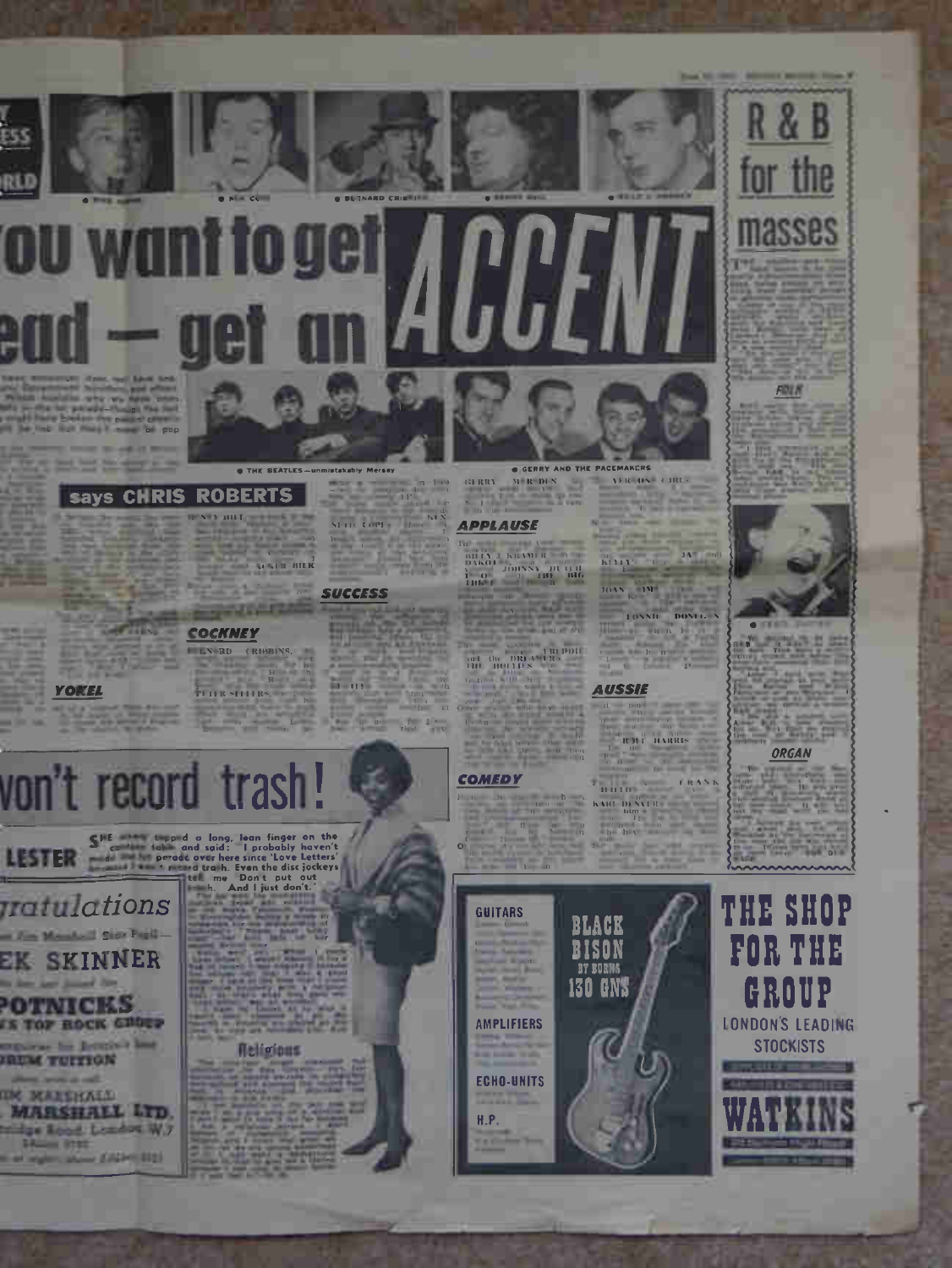

**ESS** 

REI

## YOKEL

**O THE BEATLES** says CHRIS ROBERTS NEX HILE COMPANY

**WALE BILK** 2132 W **NEGRO** 

## COCKNEY

LN RD (RIBBINS,  $\frac{R}{P(1)R} \times \left\{111R^2, 112R^3\right\}$ 

since com-

## **SUCCESS**

 $1 - 117$ 

 $\label{eq:u} u = \frac{1}{\sqrt{n}} \left(1 - \frac{1}{\sqrt{n}}\right)$ 



**ROLL** 

**AUSSIE**  $\label{eq:1} \begin{array}{rcl} \mathbf{d} & = & \mathbf{rad} \\ \mathbf{b} & = & \mathbf{b} \\ \end{array}$ 

**JOAN AVE AND REAL** 

**EXECUTE 2000 CONTRACT 1**<br>  $\frac{1}{2}$  (1)  $\frac{1}{2}$  (1)  $\frac{1}{2}$  (1)  $\frac{1}{2}$  (1)  $\frac{1}{2}$  (1)  $\frac{1}{2}$  (1)  $\frac{1}{2}$  (1)  $\frac{1}{2}$ 

 $\frac{10}{2}$  R H  $\frac{10}{4}$  H MRBs

num ... KART DENVER  $\begin{tabular}{|c|c|} \hline \multicolumn{3}{|c|}{\multicolumn{2}{|c|}{\multicolumn{2}{|c|}{\multicolumn{2}{|c|}{\multicolumn{2}{|c|}{\multicolumn{2}{|c|}{\multicolumn{2}{|c|}{\multicolumn{2}{|c|}{\multicolumn{2}{|c|}{\multicolumn{2}{|c|}{\multicolumn{2}{|c|}{\multicolumn{2}{|c|}{\multicolumn{2}{|c|}{\multicolumn{2}{|c|}{\multicolumn{2}{|c|}{\multicolumn{2}{|c|}{\multicolumn{2}{|c|}{\multicolumn{2}{|c|}{\multicolumn{2}{$ 

GERRY AN R DIN GERRY

## **APPLAUSE**

 $\label{eq:1} \mathbf{1}_{\mathbf{1}_{\mathbf{1}}\mathbf{1}_{\mathbf{1}}\mathbf{1}_{\mathbf{1}}\mathbf{1}_{\mathbf{1}}\mathbf{1}_{\mathbf{1}}\mathbf{1}_{\mathbf{1}}\mathbf{1}_{\mathbf{1}}\mathbf{1}_{\mathbf{1}}\mathbf{1}_{\mathbf{1}}\mathbf{1}_{\mathbf{1}}\mathbf{1}_{\mathbf{1}}\mathbf{1}_{\mathbf{1}}\mathbf{1}_{\mathbf{1}}\mathbf{1}_{\mathbf{1}}\mathbf{1}_{\mathbf{1}}\mathbf{1}_{\mathbf{1}}\mathbf{1}_{\mathbf{1}}\mathbf$ 

**The Bare** 



FOLK

8 B



ORGAN



# von't record trash!

**Tratul**ations The Monday of Saint Papid-EK SKINNER the fact and factory **POTNICKS** IS TOP HOCK GROUP exposure the Jerminal last **JAUM TUITIGN** 

**THE MARKHALL MARSHALL LTD.** tridge Road Leader W7 **BALLIS ROBE** The State Labor Color 1121

## **Meligions**

**COMEDY** 

**GUITARS** 

H.P.

# **AMPLIFIERS**

**130 GNS** 





**BLACK** 

**BISON BY BURNS** 

**ECHO-UNITS**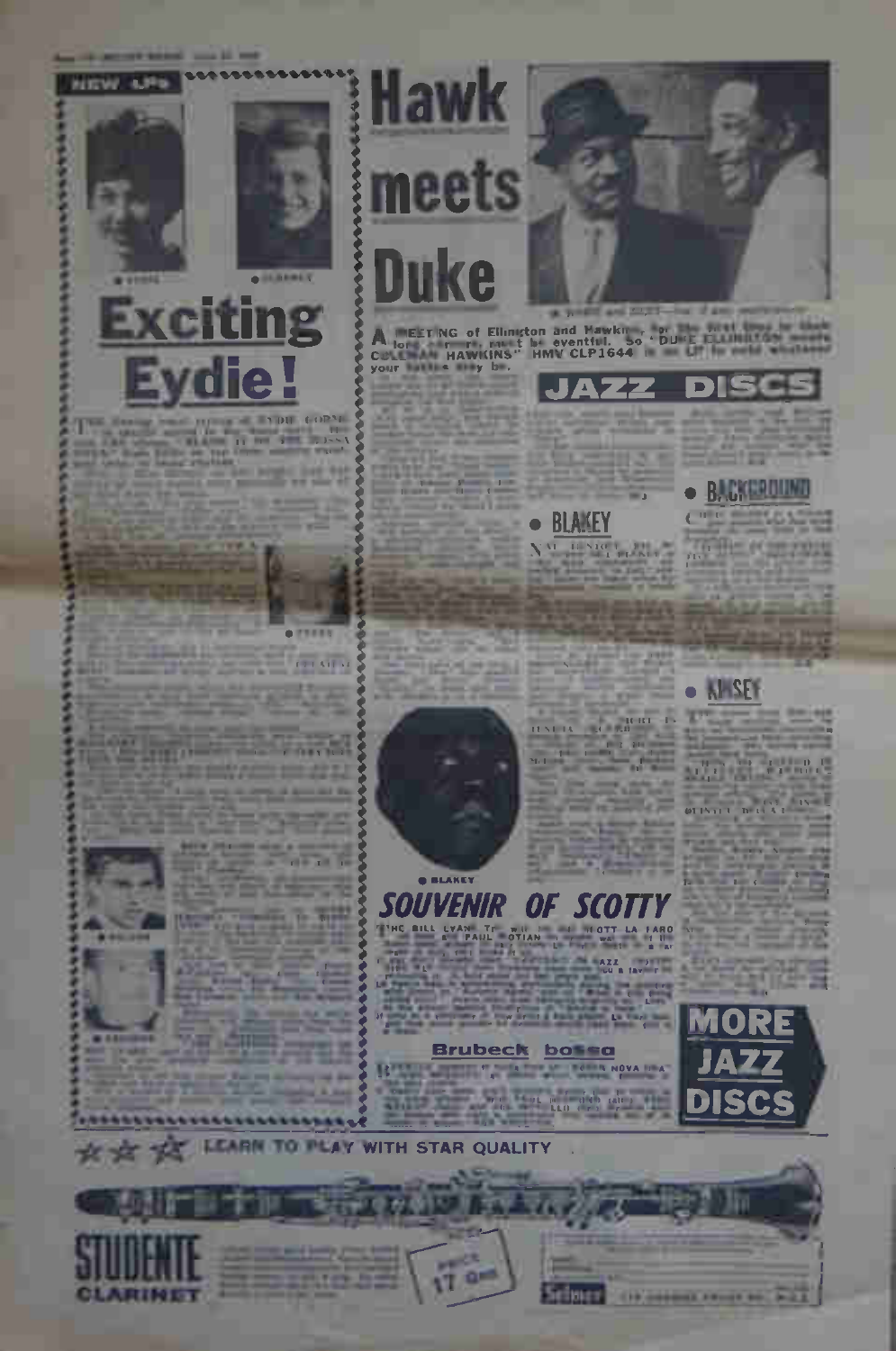

# The contract of the contract of the contract of the contract of the contract of the contract of the contract of the contract of the contract of the contract of the contract of the contract of the contract of the contract o

**CELATER** 

2117

 $(1 - 1)$ 

**Hawk** 

meets

**Duke** 

**Brubeck** 

**O BLAKEY** 

**SOUVENIR** OF SCOTT THE BILL LYAN TE **IRO** 

u

頭

bossa



D

A BETING of Elimeton and Mawkin are presented to the control of the control of the control of the control of the control of the control of the control of the control of the control of the control of the control of the cont

JAZZ

**BLAKEY**  $\bullet$ 





ni file н



**MARKET STAR** 011411 TH

MORE





R

\*\*\*\*\*\*\*\*\*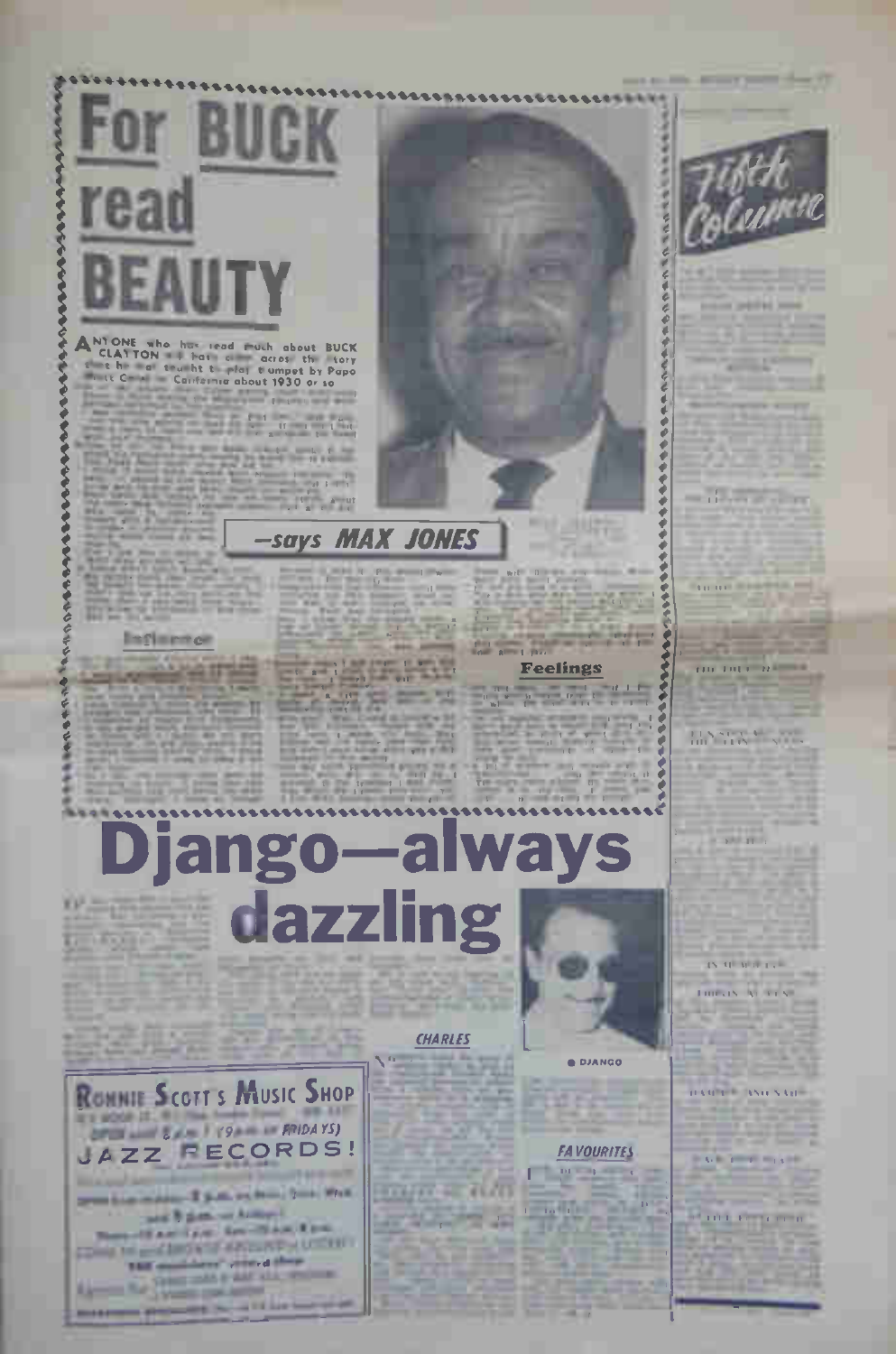**For BUCK** 

**Contract Contract on Contract Contract**  $\begin{array}{c} \begin{array}{c} \text{if } \mathcal{F} \text{ is } \mathcal{F} \text{ is } \mathcal{F} \text{ is } \mathcal{F} \text{ is } \mathcal{F} \text{ is } \mathcal{F} \text{ is } \mathcal{F} \text{ is } \mathcal{F} \text{ is } \mathcal{F} \text{ is } \mathcal{F} \text{ is } \mathcal{F} \text{ is } \mathcal{F} \text{ is } \mathcal{F} \text{ is } \mathcal{F} \text{ is } \mathcal{F} \text{ is } \mathcal{F} \text{ is } \mathcal{F} \text{ is } \mathcal{F} \text{ is } \mathcal$ 

**STATE AWAY** 

00000000

rea

## Infinence

**Says MAX JONES** 

×

MAN

#### **Feelings**

Django-always dazzling

#### **CHARLES**

 $11 - 10 = 11/13$ 



DI Capital



Antium points they if

**CONTRACTOR** 

\*\*\*\*\*\*\*\*\*\*\*\*\*\*\*\*\*\*\*\*\*\*\*

Condition Service

 $\sim$ 

 $-$  11  $-$ 

#### **BATTLE WILL**

 $280.28$ 

IN THE WAR LAR meets Av

**REGISTER AND NAME** 

#### **CALIFORNIA**

**COLL DIVIL INCH** 





the first person property and the control of the first



**O DJANGO** 

**FAVOURITES**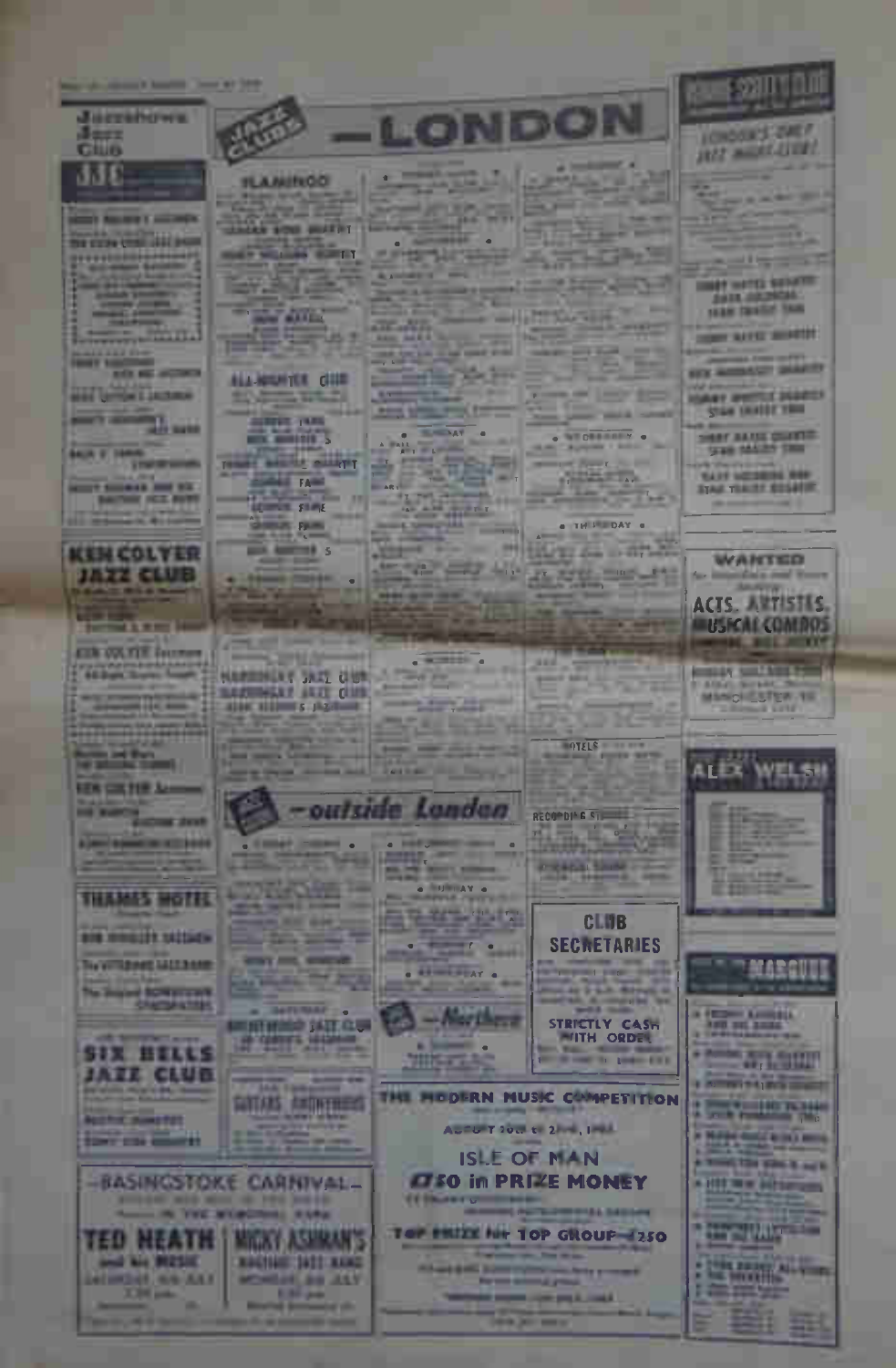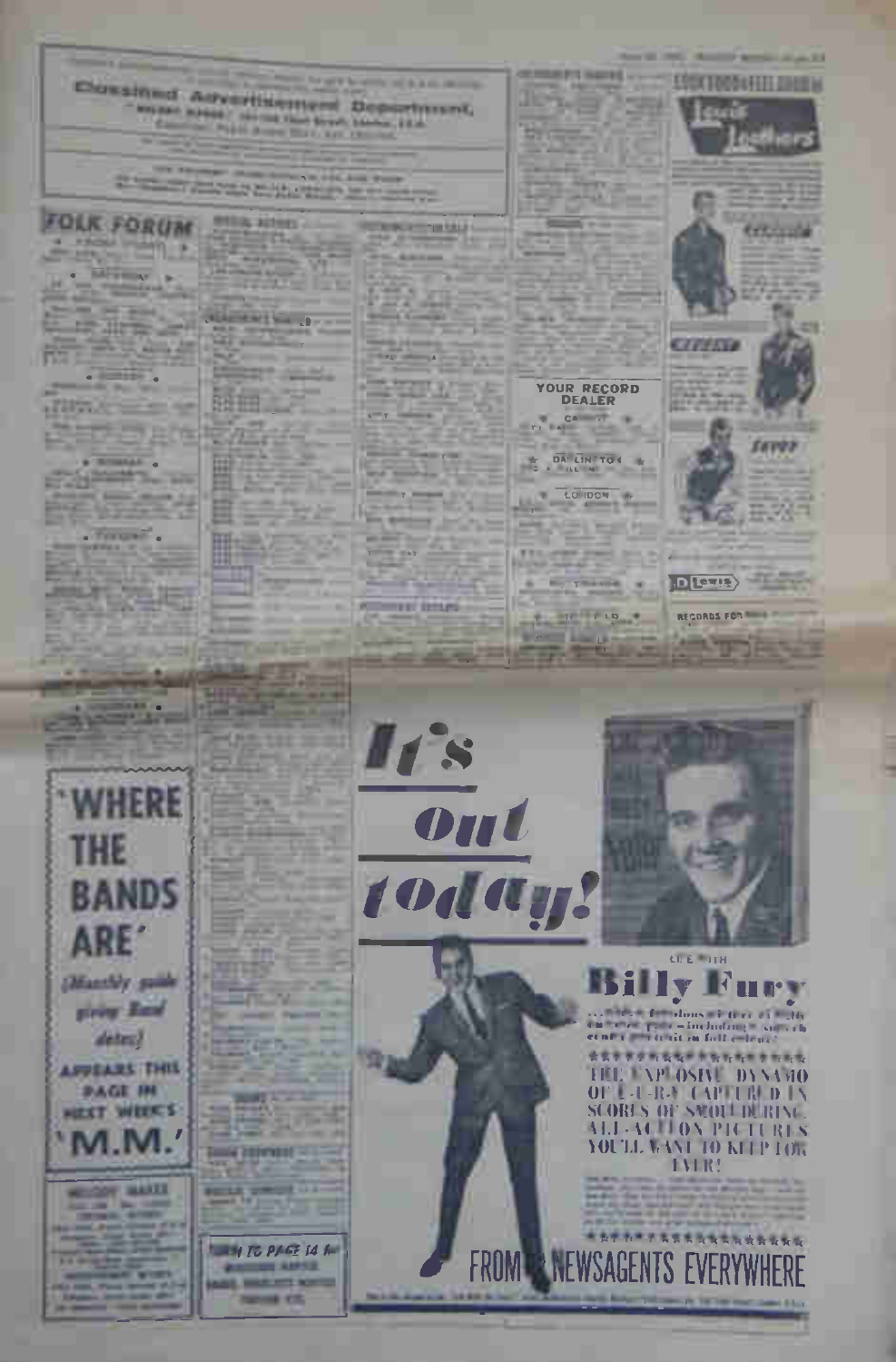art is a company of the automotive

Dossined Advertisement Department. - support publicary controls that Street, Station, 22th Concert in Political States Wash, and the con-

**THE R CONTRACTOR CARL CAR PARK** the figures come about the control of the property of the control of the control of the control of the control of the control of the control of the control of the control of the control of the control of the control of the

**CONTRACTO** 

## **OLK FORUM**

**PACK PLAYS** 25/21/10 **BASICAF** IN

**CALL AND** 

**United** 

**DOA** 

**Broad** ٠

**START STAR ATAC** 

#### . Toront'.

**LEASE RIVER** × **Series** 

**Delivered** 



**CON MARTIE** 

**PER ATTEL AND Signa** .

**STATISTICS**  $1.4444444$ 

يت

-

鵬

≕

-

里

Tools 200 mill -

**RELEASED** 

**LAW TO PAGE 14 for** 

**CALLING ANTIS AND MORTHLY SHOWN FR** 

**STATISTICS** 

ستنبذ





**LIFE FITH** 

**Rury** with a familiary of five of a Hy curier provinciada private

\*\*\*\*\*\*\*\*\*\*\*\*\*\*\*\*\* THE APLOSIVE DYNANO OF L-U-R-Y CAPTURED IN **SCORLS OF SMOLLDURING** ALL-ACTION PICTURES YOU'LL WANT TO KITP TOW

#### **EVER!**

**FROM PRINEWSAGENTS EVERYWHE** 

**Second American** 

ESSCIOUS HILLBURN









DETIS





**REMARKS HAVES** 

CA IT

DAILINTON

LO 1004 LO IDON

**MALLEY** 

**By THAME** 

and work

 $\frac{1}{2}$ 

这

-

,,,,,,,  $\sim$ 

**Service** 

 $-1$ 

92

l'a а

**The Contract of the Contract of the Contract** 

25.225

**PERSONAL REAL PROPERTY** 

**MASS 27** B  $1 - 10$ 

**MARCHARD** 

**RYK-**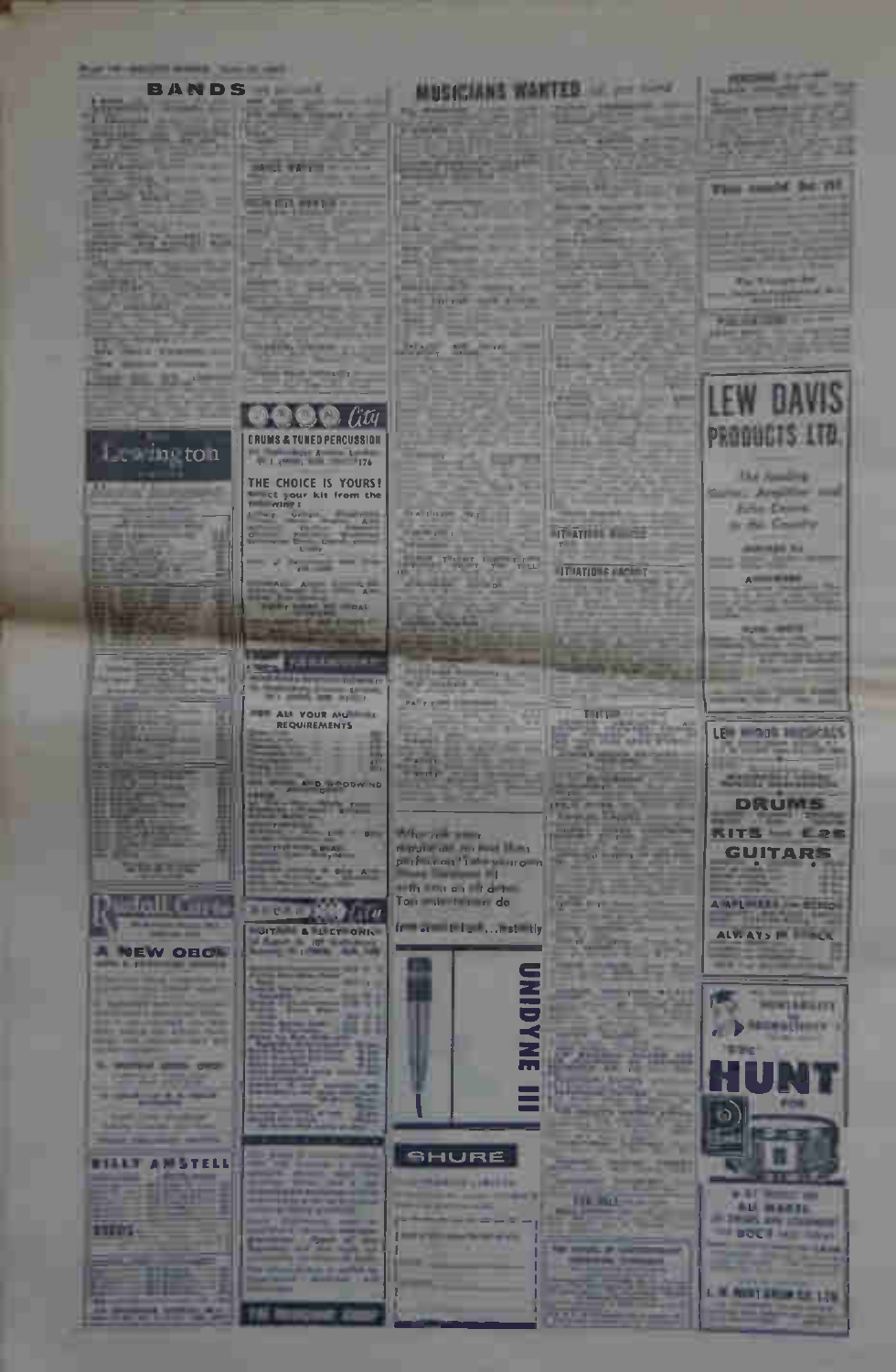#### **BANDS ----**

**START PARK** 

12500

**D@@** lity

THE CHOICE IS YOURS!

 $\sim$ 

**ATLANTA** 

**STARTON** 20

ALL YOUR AU

**AD 89** 

**Sells Street, Square ACCORD** Bennyth .

WE THAT with the lot **Bay and State** 

 $=$  the  $=$ 

 $\sim$ **Trimite** 

*<u>A SHIPA NASHRID</u>* **The State** 

**U. San Francis Service Commerce SHERL ROOM** 

*DRUMS & TUNED PERCUSSION* Le in ton **Excession Contract Contract Contract Contract Contract Contract Contract Contract Contract Contract Contract Contract Contract Contract Contract Contract Contract Contract Contract Contract Contract Contract Contract Cont** 

 $\mathbf{U}$  , and the set

**START IS** 

Jall Card

**NEW OROL** 

**START** 

**PERMIT STATE OF** 

*<u>BALLER WAY</u>*  $\frac{1}{2} \left( \frac{1}{2} \right) \left( \frac{1}{2} \right) \left( \frac{1}{2} \right) \left( \frac{1}{2} \right)$ 

*ETALY ANSTELL* 

**STERS-**

## **MUSICIANS WANTED IN 1879**

**Service of the Party Pro** 

**Carl Anni Mt** 

**Book and Company's** 

**PERSONAL PROPERTY** 

**AT ATTITUDE AND RESERVE** 

**ITTIATIONS VALUE** 

Turned of

**CALLED** 

200 L. L

**STATISTICS** 

**TIL KLE** 

œ

**Report** 

m.

the first and state 363

**PEACE OF BUILDING** 

 $\mathcal{L}$ 

122 Co. The Court of the Water

Judie Bar

**The Bar** 

When the same 

aith sou as at drive Tour minutes or do

from an anti-translation to

× **Sir and** 

**The small be lift** 

**The Winnipedia** *<u>Property</u>* 

**STATISTICS** 



**Ede Come Science Country** 

**JOHNAN NA** 

 $A$ <u>on a</u>

**AND PET** 

**STATISTICS** 





**WATE** -**ALL MARTIN DOCT AT MAY** 

**C.W. ANNE AREA CA 176** 



# SHURE

**Denver Call Line** 

 $\frac{1}{2} \sum_{i=1}^{n} \frac{1}{2} \sum_{i=1}^{n} \frac{1}{2} \sum_{i=1}^{n} \frac{1}{2} \sum_{i=1}^{n} \frac{1}{2} \sum_{i=1}^{n} \frac{1}{2} \sum_{i=1}^{n} \frac{1}{2} \sum_{i=1}^{n} \frac{1}{2} \sum_{i=1}^{n} \frac{1}{2} \sum_{i=1}^{n} \frac{1}{2} \sum_{i=1}^{n} \frac{1}{2} \sum_{i=1}^{n} \frac{1}{2} \sum_{i=1}^{n} \frac{1}{2} \sum_{i=1}^{n$ **TEAM** 22, 20, 20 **CANADA** 

5671

群自

**Contract Contract Contract**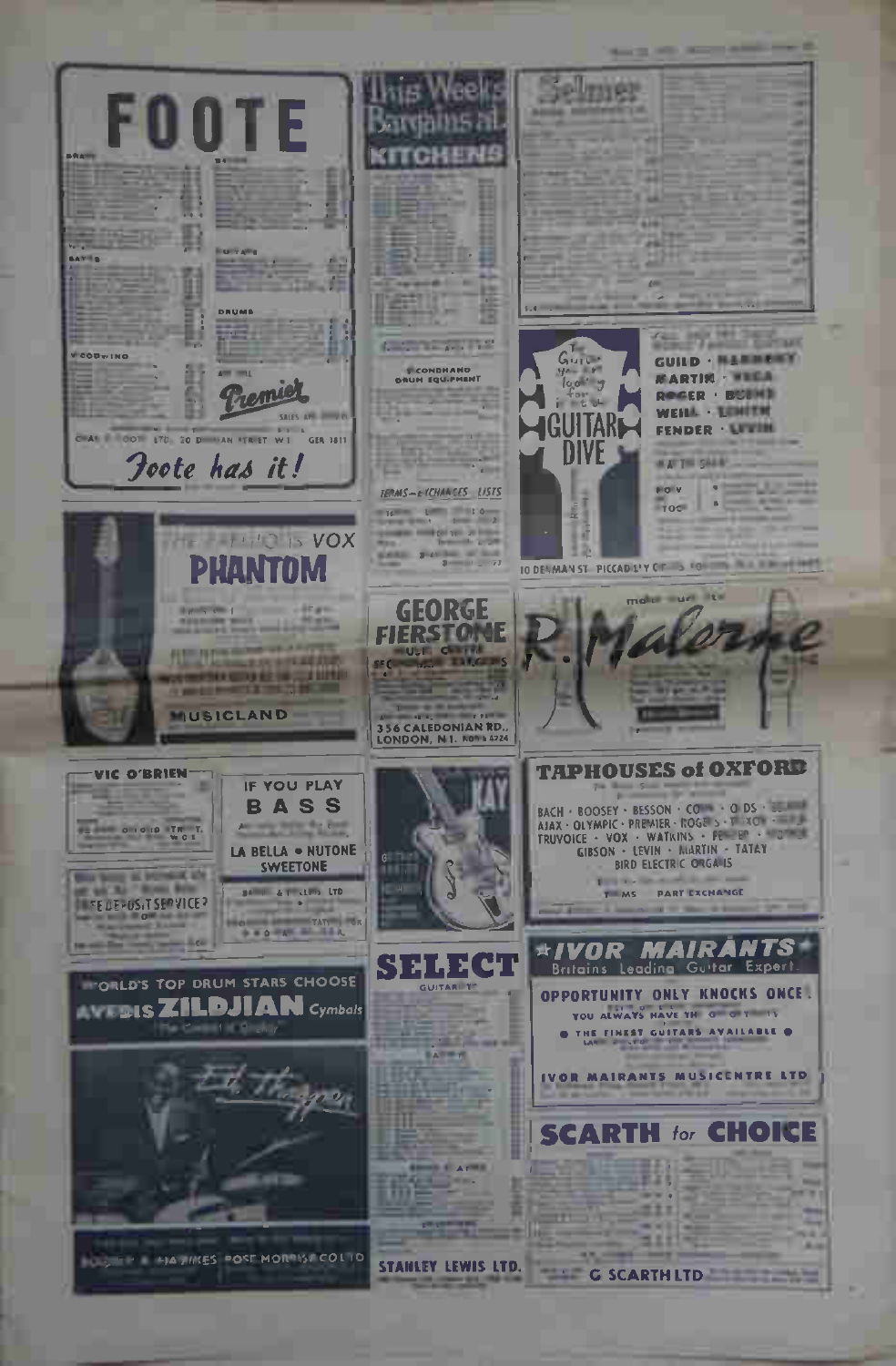